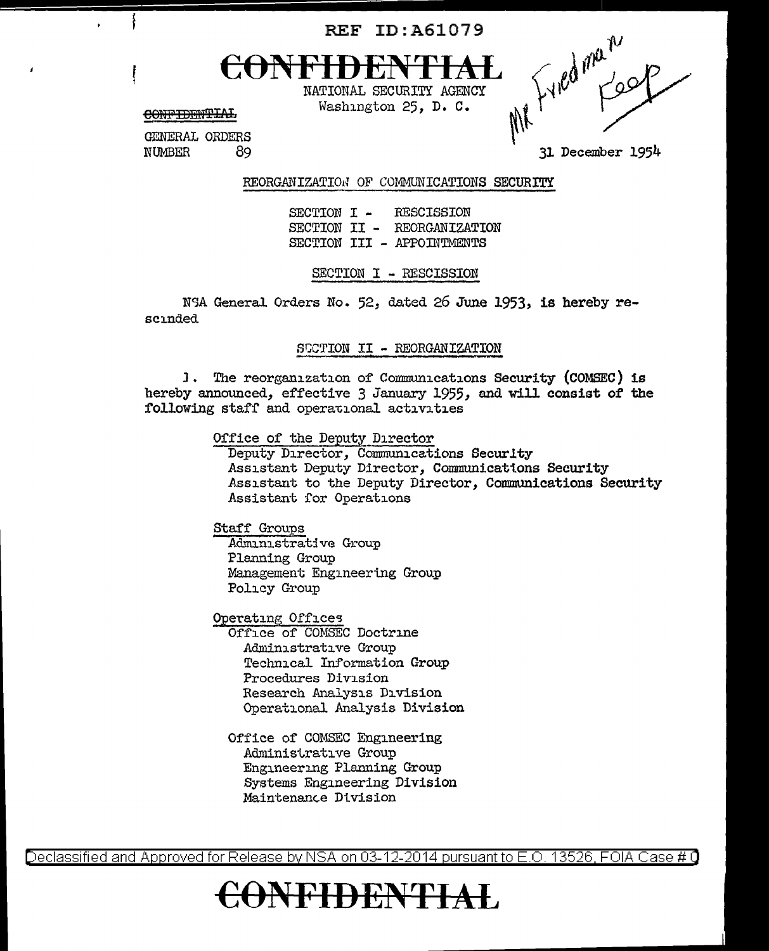REF TD: 461079



CONFIDENTIAL

GENERAL ORDERS **NUMBER** 89 Fried man

31 December 1954

REORGANIZATION OF COMMUNICATIONS SECURITY

SECTION I -**RESCISSION** SECTION II - REORGANIZATION SECTION III - APPOINTMENTS

SECTION I - RESCISSION

NSA General Orders No. 52, dated 26 June 1953, is hereby rescinded

## SUCTION II - REORGANIZATION

1. The reorganization of Communications Security (COMSEC) is hereby announced, effective 3 January 1955, and will consist of the following staff and operational activities

Office of the Deputy Director

Deputy Director, Communications Security Assistant Deputy Director, Communications Security Assistant to the Deputy Director, Communications Security Assistant for Operations

Staff Groups Administrative Group Planning Group Management Engineering Group Policy Group

Operating Offices

Office of COMSEC Doctrine Administrative Group Technical Information Group Procedures Division Research Analysis Division Operational Analysis Division

Office of COMSEC Engineering Administrative Group Engineering Planning Group Systems Engineering Division Maintenance Division

Declassified and Approved for Release by NSA on 03-12-2014 pursuant to E.O. 13526, FOIA Case # 0

## **NFIDENTIAL**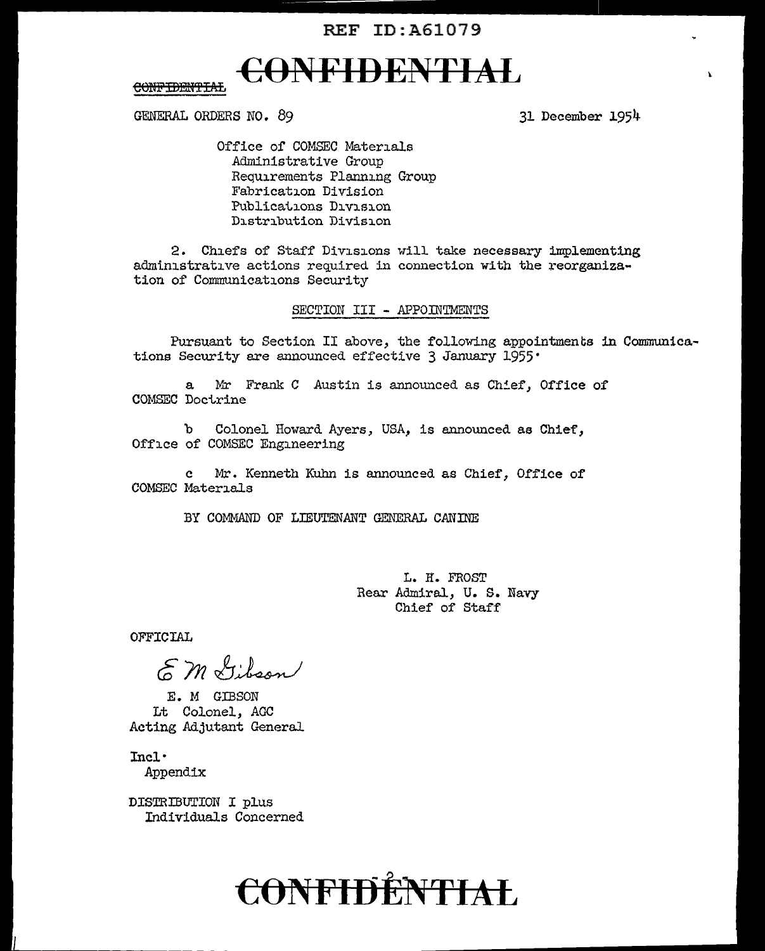

**CONFIDENTIAL** 

GENERAL ORDERS NO. 89

31 December 1954

\.

Office of COMSEC Materials Administrative Group Requirements Planning Group Fabrication Division Publications Division Distribution Division

2. Chiefs of Staff Divisions will take necessary implementing administrative actions required in connection with the reorganization of Communications Security

## SECTION III - APPOINTMENTS

Pursuant to Section II above, the following appointments in Communications Security are announced effective 3 January 1955•

a Mr Frank C Austin is announced as Chief, Office of COMSEC Doctrine

b Colonel Howard Ayers, USA, is announced as Chief, Office of COMSEC Engineering

c Mr. Kenneth Kuhn is announced as Chief, Office of COMSEC Materials

BY COMMAND OF LIEUTENANT GENERAL CANINE

L. H. FROST Rear Admiral, U. S. Navy Chief of Staff

OFFICIAL

Em Isibson

E. M GIBSON Lt Colonel, AGC Acting Adjutant General

Incl· Appendix

DISTRIBUTION I plus Individuals Concerned

## CONFIDENTIAL